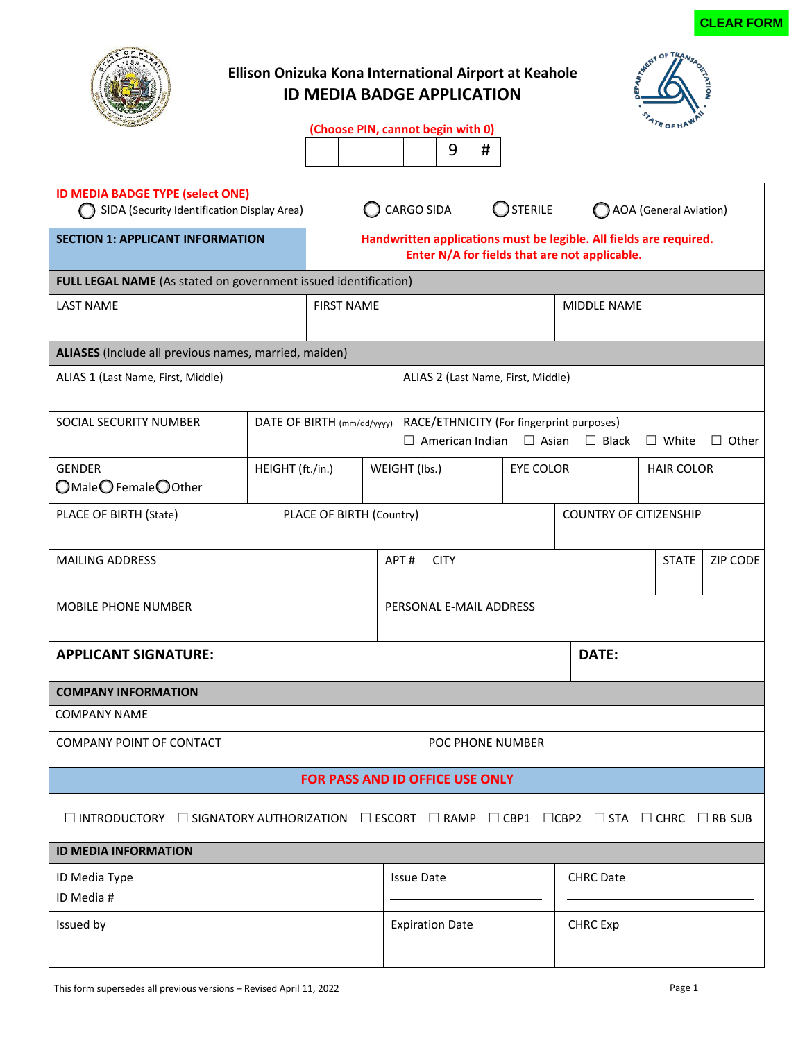

# **Ellison Onizuka Kona International Airport at Keahole ID MEDIA BADGE APPLICATION**



|  |  | (Choose PIN, cannot begin with 0) |
|--|--|-----------------------------------|
|--|--|-----------------------------------|

 $9 \mid #$ 

| <b>ID MEDIA BADGE TYPE (select ONE)</b><br>SIDA (Security Identification Display Area)                                                                               |                          |                            | <b>STERILE</b><br><b>CARGO SIDA</b>                                                                                 |                                           |                                                                                  | <b>AOA</b> (General Aviation) |                               |                    |              |                   |  |                 |
|----------------------------------------------------------------------------------------------------------------------------------------------------------------------|--------------------------|----------------------------|---------------------------------------------------------------------------------------------------------------------|-------------------------------------------|----------------------------------------------------------------------------------|-------------------------------|-------------------------------|--------------------|--------------|-------------------|--|-----------------|
| <b>SECTION 1: APPLICANT INFORMATION</b>                                                                                                                              |                          |                            | Handwritten applications must be legible. All fields are required.<br>Enter N/A for fields that are not applicable. |                                           |                                                                                  |                               |                               |                    |              |                   |  |                 |
| FULL LEGAL NAME (As stated on government issued identification)                                                                                                      |                          |                            |                                                                                                                     |                                           |                                                                                  |                               |                               |                    |              |                   |  |                 |
| <b>LAST NAME</b><br><b>FIRST NAME</b>                                                                                                                                |                          |                            |                                                                                                                     |                                           |                                                                                  |                               |                               | <b>MIDDLE NAME</b> |              |                   |  |                 |
| ALIASES (Include all previous names, married, maiden)                                                                                                                |                          |                            |                                                                                                                     |                                           |                                                                                  |                               |                               |                    |              |                   |  |                 |
| ALIAS 1 (Last Name, First, Middle)                                                                                                                                   |                          |                            |                                                                                                                     |                                           | ALIAS 2 (Last Name, First, Middle)                                               |                               |                               |                    |              |                   |  |                 |
| SOCIAL SECURITY NUMBER                                                                                                                                               |                          | DATE OF BIRTH (mm/dd/yyyy) |                                                                                                                     |                                           | RACE/ETHNICITY (For fingerprint purposes)<br>$\Box$ American Indian $\Box$ Asian |                               |                               |                    | $\Box$ Black | $\square$ White   |  | $\Box$ Other    |
| <b>GENDER</b><br>$\bigcirc$ Male $\bigcirc$ Female $\bigcirc$ Other                                                                                                  | HEIGHT (ft./in.)         |                            |                                                                                                                     | WEIGHT (Ibs.)                             |                                                                                  |                               | <b>EYE COLOR</b>              |                    |              | <b>HAIR COLOR</b> |  |                 |
| PLACE OF BIRTH (State)                                                                                                                                               | PLACE OF BIRTH (Country) |                            |                                                                                                                     |                                           |                                                                                  |                               | <b>COUNTRY OF CITIZENSHIP</b> |                    |              |                   |  |                 |
| <b>MAILING ADDRESS</b>                                                                                                                                               |                          |                            |                                                                                                                     | APT#                                      | <b>CITY</b>                                                                      |                               |                               |                    |              | <b>STATE</b>      |  | <b>ZIP CODE</b> |
| <b>MOBILE PHONE NUMBER</b>                                                                                                                                           |                          |                            |                                                                                                                     | PERSONAL E-MAIL ADDRESS                   |                                                                                  |                               |                               |                    |              |                   |  |                 |
| <b>APPLICANT SIGNATURE:</b>                                                                                                                                          |                          |                            |                                                                                                                     |                                           |                                                                                  |                               |                               |                    | DATE:        |                   |  |                 |
| <b>COMPANY INFORMATION</b>                                                                                                                                           |                          |                            |                                                                                                                     |                                           |                                                                                  |                               |                               |                    |              |                   |  |                 |
| <b>COMPANY NAME</b>                                                                                                                                                  |                          |                            |                                                                                                                     |                                           |                                                                                  |                               |                               |                    |              |                   |  |                 |
| <b>COMPANY POINT OF CONTACT</b>                                                                                                                                      |                          |                            |                                                                                                                     | POC PHONE NUMBER                          |                                                                                  |                               |                               |                    |              |                   |  |                 |
| FOR PASS AND ID OFFICE USE ONLY                                                                                                                                      |                          |                            |                                                                                                                     |                                           |                                                                                  |                               |                               |                    |              |                   |  |                 |
| $\square$ INTRODUCTORY $\square$ SIGNATORY AUTHORIZATION $\square$ ESCORT $\square$ RAMP $\square$ CBP1 $\square$ CBP2 $\square$ STA $\square$ CHRC $\square$ RB SUB |                          |                            |                                                                                                                     |                                           |                                                                                  |                               |                               |                    |              |                   |  |                 |
| <b>ID MEDIA INFORMATION</b>                                                                                                                                          |                          |                            |                                                                                                                     |                                           |                                                                                  |                               |                               |                    |              |                   |  |                 |
| ID Media Type New York Contract and Contract Contract Contract Contract Contract Contract Contract Contract Co                                                       |                          |                            |                                                                                                                     | <b>CHRC Date</b><br><b>Issue Date</b>     |                                                                                  |                               |                               |                    |              |                   |  |                 |
| Issued by                                                                                                                                                            |                          |                            |                                                                                                                     | <b>CHRC</b> Exp<br><b>Expiration Date</b> |                                                                                  |                               |                               |                    |              |                   |  |                 |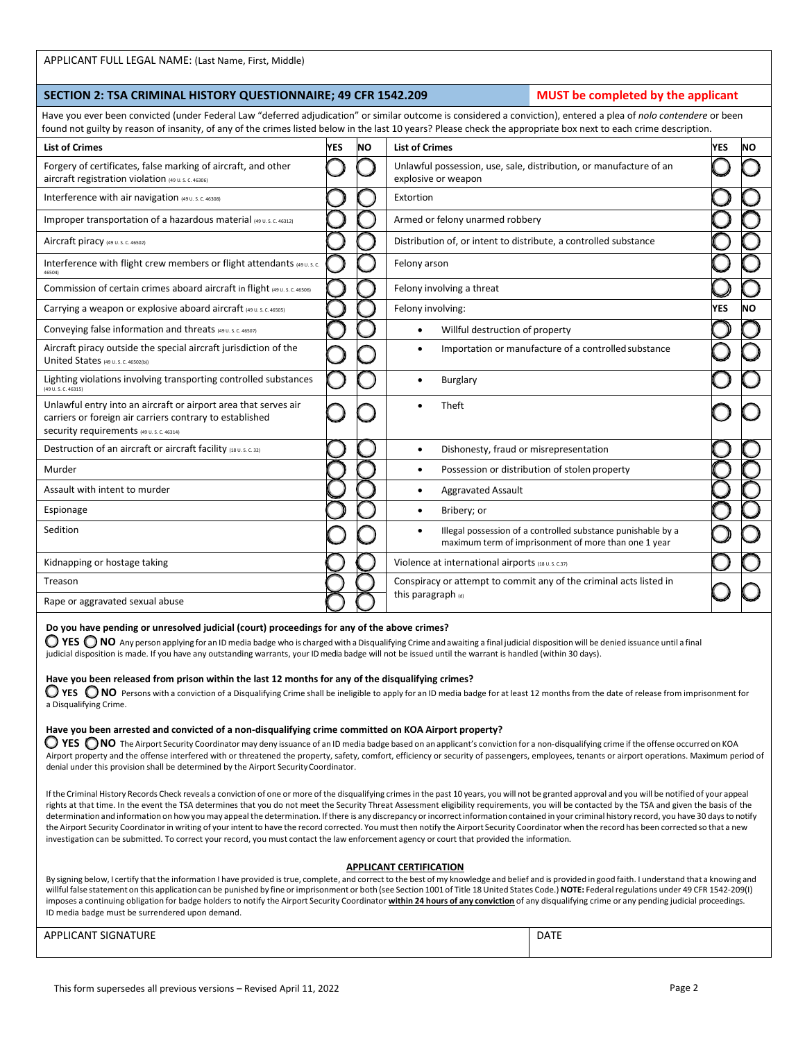## APPLICANT FULL LEGAL NAME: (Last Name, First, Middle)

### **SECTION 2: TSA CRIMINAL HISTORY QUESTIONNAIRE; 49 CFR 1542.209 MUST be completed by the applicant**

Have you ever been convicted (under Federal Law "deferred adjudication" or similar outcome is considered a conviction), entered a plea of *nolo contendere* or been found not guilty by reason of insanity, of any of the crimes listed below in the last 10 years? Please check the appropriate b

|                                                                                                                                                                         |            |           | round not gainly by reason or insamity, or any or the crimes iisted below in the iast 10 years: I rease check the appropriate box next to each crime description. |            |           |
|-------------------------------------------------------------------------------------------------------------------------------------------------------------------------|------------|-----------|-------------------------------------------------------------------------------------------------------------------------------------------------------------------|------------|-----------|
| <b>List of Crimes</b>                                                                                                                                                   | <b>YES</b> | <b>NO</b> | <b>List of Crimes</b>                                                                                                                                             | <b>YES</b> | <b>NO</b> |
| Forgery of certificates, false marking of aircraft, and other<br>aircraft registration violation (49 U.S. C. 46306)                                                     |            |           | Unlawful possession, use, sale, distribution, or manufacture of an<br>explosive or weapon                                                                         |            |           |
| Interference with air navigation (49 U.S.C. 46308)                                                                                                                      |            |           | Extortion                                                                                                                                                         |            |           |
| Improper transportation of a hazardous material (49 U.S.C. 46312)                                                                                                       |            |           | Armed or felony unarmed robbery                                                                                                                                   |            |           |
| Aircraft piracy (49 U.S.C. 46502)                                                                                                                                       |            |           | Distribution of, or intent to distribute, a controlled substance                                                                                                  |            |           |
| Interference with flight crew members or flight attendants (49 U.S.C.<br>46504)                                                                                         |            |           | Felony arson                                                                                                                                                      |            |           |
| Commission of certain crimes aboard aircraft in flight (49 U.S.C. 46506)                                                                                                |            |           | Felony involving a threat                                                                                                                                         |            |           |
| Carrying a weapon or explosive aboard aircraft (49 U.S.C. 46505)                                                                                                        |            |           | Felony involving:                                                                                                                                                 | <b>YES</b> | NΟ        |
| Conveying false information and threats (49 U.S.C. 46507)                                                                                                               |            |           | Willful destruction of property<br>$\bullet$                                                                                                                      |            |           |
| Aircraft piracy outside the special aircraft jurisdiction of the<br>United States (49 U.S.C. 46502(b))                                                                  |            |           | Importation or manufacture of a controlled substance                                                                                                              |            |           |
| Lighting violations involving transporting controlled substances<br>$(49 \text{ U. S. C. } 46315)$                                                                      |            |           | Burglary<br>$\bullet$                                                                                                                                             |            |           |
| Unlawful entry into an aircraft or airport area that serves air<br>carriers or foreign air carriers contrary to established<br>Security requirements (49 U.S. C. 46314) |            |           | Theft                                                                                                                                                             |            |           |
| Destruction of an aircraft or aircraft facility (18 U.S. C. 32)                                                                                                         |            |           | Dishonesty, fraud or misrepresentation<br>$\bullet$                                                                                                               |            |           |
| Murder                                                                                                                                                                  |            |           | Possession or distribution of stolen property<br>$\bullet$                                                                                                        |            |           |
| Assault with intent to murder                                                                                                                                           |            |           | <b>Aggravated Assault</b><br>٠                                                                                                                                    |            |           |
| Espionage                                                                                                                                                               |            |           | Bribery; or<br>$\bullet$                                                                                                                                          |            |           |
| Sedition                                                                                                                                                                |            |           | Illegal possession of a controlled substance punishable by a<br>$\bullet$<br>maximum term of imprisonment of more than one 1 year                                 |            |           |
| Kidnapping or hostage taking                                                                                                                                            |            |           | Violence at international airports (18 U.S. C.37)                                                                                                                 |            |           |
| Treason                                                                                                                                                                 |            |           | Conspiracy or attempt to commit any of the criminal acts listed in                                                                                                |            |           |
| Rape or aggravated sexual abuse                                                                                                                                         |            |           | this paragraph (d)                                                                                                                                                |            |           |

### **Do you have pending or unresolved judicial (court) proceedings for any of the above crimes?**

■ YES ● NO Any person applying for an ID media badge who is charged with a Disqualifying Crime and awaiting a final judicial disposition will be denied issuance until a final judicial disposition is made. If you have any outstanding warrants, your ID media badge will not be issued until the warrant is handled (within 30 days).

### **Have you been released from prison within the last 12 months for any of the disqualifying crimes?**

● YES ● NO Persons with a conviction of a Disqualifying Crime shall be ineligible to apply for an ID media badge for at least 12 months from the date of release from imprisonment for a Disqualifying Crime.

### **Have you been arrested and convicted of a non-disqualifying crime committed on KOA Airport property?**

● YES ● NO The Airport Security Coordinator may deny issuance of an ID media badge based on an applicant's conviction for a non-disqualifying crime if the offense occurred on KOA Airport property and the offense interfered with or threatened the property, safety, comfort, efficiency or security of passengers, employees, tenants or airport operations. Maximum period of denial under this provision shall be determined by the Airport Security Coordinator.

If the Criminal History Records Check reveals a conviction of one or more of the disqualifying crimes in the past 10 years, you will not be granted approval and you will be notified of your appeal rights at that time. In the event the TSA determines that you do not meet the Security Threat Assessment eligibility requirements, you will be contacted by the TSA and given the basis of the determination and information on how you may appeal the determination. Ifthere is any discrepancy orincorrectinformation contained in your criminal history record, you have 30 daysto notify the Airport Security Coordinator in writing of your intent to have the record corrected. You must then notify the Airport Security Coordinator when the record has been corrected so that a new investigation can be submitted. To correct your record, you must contact the law enforcement agency or court that provided the information.

### **APPLICANT CERTIFICATION**

By signing below, I certify that the information I have provided is true, complete, and correct to the best of my knowledge and belief and is provided in good faith. I understand that a knowing and willful false statement on this application can be punished by fine or imprisonment or both (see Section 1001 of Title 18United States Code.) **NOTE:** Federalregulations under 49 CFR 1542-209(I) imposes a continuing obligation for badge holders to notify the Airport Security Coordinator within 24 hours of any conviction of any disqualifying crime or any pending judicial proceedings. ID media badge must be surrendered upon demand.

# APPLICANT SIGNATURE **DATE**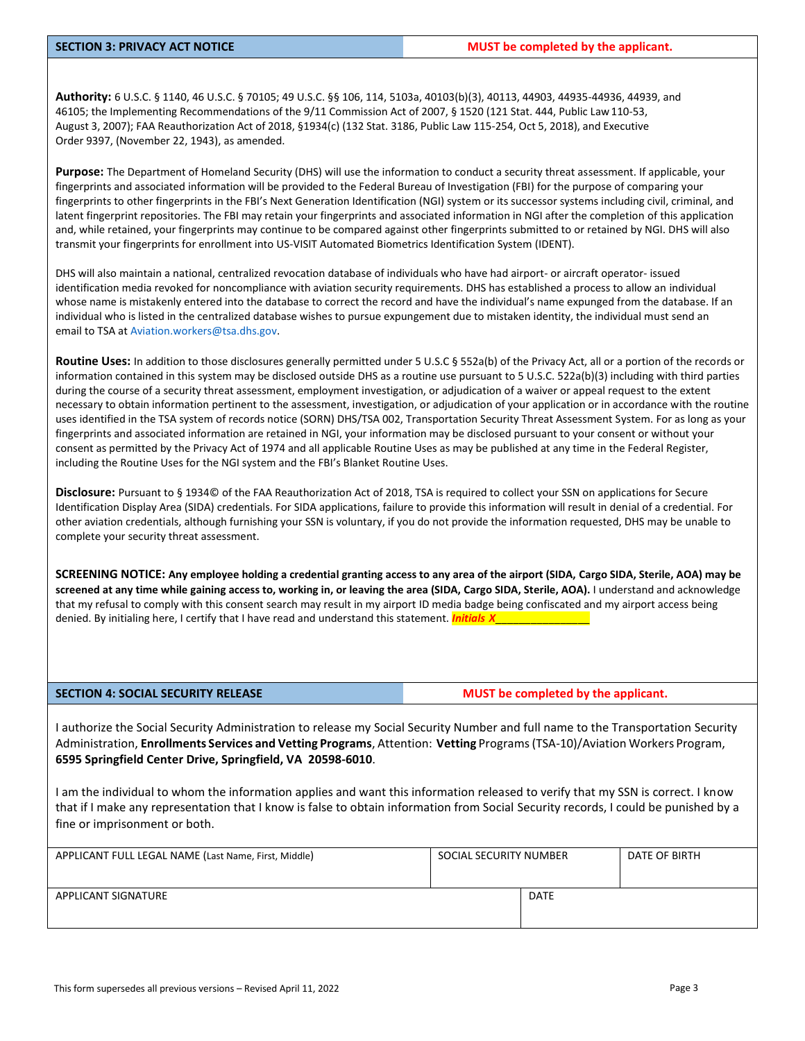**Authority:** 6 U.S.C. § 1140, 46 U.S.C. § 70105; 49 U.S.C. §§ 106, 114, 5103a, 40103(b)(3), 40113, 44903, 44935-44936, 44939, and 46105; the Implementing Recommendations of the 9/11 Commission Act of 2007, § 1520 (121 Stat. 444, Public Law110-53, August 3, 2007); FAA Reauthorization Act of 2018, §1934(c) (132 Stat. 3186, Public Law 115-254, Oct 5, 2018), and Executive Order 9397, (November 22, 1943), as amended.

**Purpose:** The Department of Homeland Security (DHS) will use the information to conduct a security threat assessment. If applicable, your fingerprints and associated information will be provided to the Federal Bureau of Investigation (FBI) for the purpose of comparing your fingerprints to other fingerprints in the FBI's Next Generation Identification (NGI) system or its successor systems including civil, criminal, and latent fingerprint repositories. The FBI may retain your fingerprints and associated information in NGI after the completion of this application and, while retained, your fingerprints may continue to be compared against other fingerprints submitted to or retained by NGI. DHS will also transmit your fingerprints for enrollment into US-VISIT Automated Biometrics Identification System (IDENT).

DHS will also maintain a national, centralized revocation database of individuals who have had airport- or aircraft operator- issued identification media revoked for noncompliance with aviation security requirements. DHS has established a process to allow an individual whose name is mistakenly entered into the database to correct the record and have the individual's name expunged from the database. If an individual who is listed in the centralized database wishes to pursue expungement due to mistaken identity, the individual must send an email to TSA a[t Aviation.workers@tsa.dhs.gov.](mailto:Aviation.workers@tsa.dhs.gov)

**Routine Uses:** In addition to those disclosures generally permitted under 5 U.S.C § 552a(b) of the Privacy Act, all or a portion of the records or information contained in this system may be disclosed outside DHS as a routine use pursuant to 5 U.S.C. 522a(b)(3) including with third parties during the course of a security threat assessment, employment investigation, or adjudication of a waiver or appeal request to the extent necessary to obtain information pertinent to the assessment, investigation, or adjudication of your application or in accordance with the routine uses identified in the TSA system of records notice (SORN) DHS/TSA 002, Transportation Security Threat Assessment System. For as long as your fingerprints and associated information are retained in NGI, your information may be disclosed pursuant to your consent or without your consent as permitted by the Privacy Act of 1974 and all applicable Routine Uses as may be published at any time in the Federal Register, including the Routine Uses for the NGI system and the FBI's Blanket Routine Uses.

**Disclosure:** Pursuant to § 1934© of the FAA Reauthorization Act of 2018, TSA is required to collect your SSN on applications for Secure Identification Display Area (SIDA) credentials. For SIDA applications, failure to provide this information will result in denial of a credential. For other aviation credentials, although furnishing your SSN is voluntary, if you do not provide the information requested, DHS may be unable to complete your security threat assessment.

**SCREENING NOTICE: Any employee holding a credential granting access to any area of the airport (SIDA, Cargo SIDA, Sterile, AOA) may be screened at any time while gaining access to, working in, or leaving the area (SIDA, Cargo SIDA, Sterile, AOA).** I understand and acknowledge that my refusal to comply with this consent search may result in my airport ID media badge being confiscated and my airport access being denied. By initialing here, I certify that I have read and understand this statement. *Initials X*\_\_\_\_\_\_\_\_\_\_\_\_\_\_\_\_

**SECTION 4: SOCIAL SECURITY RELEASE MUST be completed by the applicant.** 

I authorize the Social Security Administration to release my Social Security Number and full name to the Transportation Security Administration, **Enrollments Services and Vetting Programs**, Attention: **Vetting** Programs(TSA-10)/Aviation Workers Program, **6595 Springfield Center Drive, Springfield, VA 20598-6010**.

I am the individual to whom the information applies and want this information released to verify that my SSN is correct. I know that if I make any representation that I know is false to obtain information from Social Security records, I could be punished by a fine or imprisonment or both.

| APPLICANT FULL LEGAL NAME (Last Name, First, Middle) | SOCIAL SECURITY NUMBER |             | DATE OF BIRTH |
|------------------------------------------------------|------------------------|-------------|---------------|
| APPLICANT SIGNATURE                                  |                        | <b>DATE</b> |               |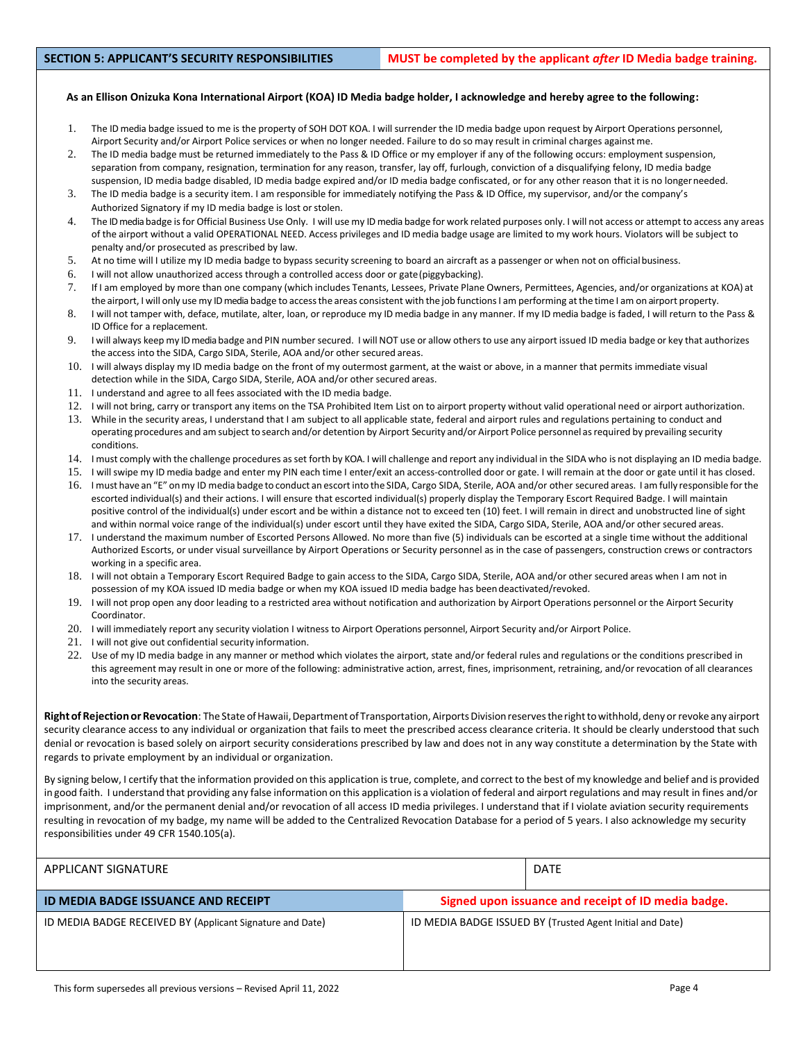## **As an Ellison Onizuka Kona International Airport (KOA) ID Media badge holder, I acknowledge and hereby agree to the following:**

- 1. The ID media badge issued to me is the property of SOH DOT KOA. I will surrender the ID media badge upon request by Airport Operations personnel, Airport Security and/or Airport Police services or when no longer needed. Failure to do so may result in criminal charges againstme.
- 2. The ID media badge must be returned immediately to the Pass & ID Office or my employer if any of the following occurs: employment suspension, separation from company, resignation, termination for any reason, transfer, lay off, furlough, conviction of a disqualifying felony, ID media badge suspension, ID media badge disabled, ID media badge expired and/or ID media badge confiscated, or for any other reason that it is no longerneeded.
- 3. The ID media badge is a security item. I am responsible for immediately notifying the Pass & ID Office, my supervisor, and/or the company's Authorized Signatory if my ID media badge is lost or stolen.
- 4. The ID media badge isfor Official Business Use Only. I will use my ID media badge for work related purposes only. I will not access or attempt to access any areas of the airport without a valid OPERATIONAL NEED. Access privileges and ID media badge usage are limited to my work hours. Violators will be subject to penalty and/or prosecuted as prescribed by law.
- 5. At no time will I utilize my ID media badge to bypass security screening to board an aircraft as a passenger or when not on officialbusiness.
- 6. I will not allow unauthorized access through a controlled access door or gate(piggybacking).
- 7. If I am employed by more than one company (which includes Tenants, Lessees, Private Plane Owners, Permittees, Agencies, and/or organizations at KOA) at the airport, I will only use my ID media badge to access the areas consistent with the job functions I am performing at the time I am on airport property.
- 8. I will not tamper with, deface, mutilate, alter, loan, or reproduce my ID media badge in any manner. If my ID media badge is faded, I will return to the Pass & ID Office for a replacement.
- 9. I will always keep my ID media badge and PIN numbersecured. I will NOT use or allow othersto use any airport issued ID media badge or key that authorizes the access into the SIDA, Cargo SIDA, Sterile, AOA and/or other secured areas.
- 10. I will always display my ID media badge on the front of my outermost garment, at the waist or above, in a manner that permits immediate visual detection while in the SIDA, Cargo SIDA, Sterile, AOA and/or other secured areas.
- 11. I understand and agree to all fees associated with the ID media badge.
- 12. I will not bring, carry or transport any items on the TSA Prohibited Item List on to airport property without valid operational need or airport authorization.
- 13. While in the security areas, I understand that I am subject to all applicable state, federal and airport rules and regulations pertaining to conduct and operating procedures and am subject to search and/or detention by Airport Security and/or Airport Police personnel as required by prevailing security conditions.
- 14. I must comply with the challenge procedures asset forth by KOA. I will challenge and report any individual in the SIDA who is not displaying an ID media badge.
- 15. I will swipe my ID media badge and enter my PIN each time I enter/exit an access-controlled door or gate. I will remain at the door or gate until it has closed.
- 16. I must have an "E" onmy ID media badge to conduct an escort into the SIDA, Cargo SIDA, Sterile, AOA and/or other secured areas. I amfully responsible forthe escorted individual(s) and their actions. I will ensure that escorted individual(s) properly display the Temporary Escort Required Badge. I will maintain positive control of the individual(s) under escort and be within a distance not to exceed ten (10) feet. I will remain in direct and unobstructed line of sight and within normal voice range of the individual(s) under escort until they have exited the SIDA, Cargo SIDA, Sterile, AOA and/or other secured areas.
- 17. I understand the maximum number of Escorted Persons Allowed. No more than five (5) individuals can be escorted at a single time without the additional Authorized Escorts, or under visual surveillance by Airport Operations or Security personnel as in the case of passengers, construction crews or contractors working in a specific area.
- 18. I will not obtain a Temporary Escort Required Badge to gain access to the SIDA, Cargo SIDA, Sterile, AOA and/or other secured areas when I am not in possession of my KOA issued ID media badge or when my KOA issued ID media badge has beendeactivated/revoked.
- 19. I will not prop open any door leading to a restricted area without notification and authorization by Airport Operations personnel or the Airport Security Coordinator.
- 20. I will immediately report any security violation I witness to Airport Operations personnel, Airport Security and/or Airport Police.
- 21. I will not give out confidential security information.
- 22. Use of my ID media badge in any manner or method which violates the airport, state and/or federal rules and regulations or the conditions prescribed in this agreement may result in one or more of the following: administrative action, arrest, fines, imprisonment, retraining, and/or revocation of all clearances into the security areas.

Right of Rejection or Revocation: The State of Hawaii, Department of Transportation, Airports Division reserves the right to withhold, deny or revoke any airport security clearance access to any individual or organization that fails to meet the prescribed access clearance criteria. It should be clearly understood that such denial or revocation is based solely on airport security considerations prescribed by law and does not in any way constitute a determination by the State with regards to private employment by an individual or organization.

By signing below, I certify that the information provided on this application istrue, complete, and correct to the best of my knowledge and belief and is provided in good faith. I understand that providing any false information on this application is a violation of federal and airport regulations and may result in fines and/or imprisonment, and/or the permanent denial and/or revocation of all access ID media privileges. I understand that if I violate aviation security requirements resulting in revocation of my badge, my name will be added to the Centralized Revocation Database for a period of 5 years. I also acknowledge my security responsibilities under 49 CFR 1540.105(a).

| APPLICANT SIGNATURE                                       |                                                           | <b>DATE</b>                                         |  |
|-----------------------------------------------------------|-----------------------------------------------------------|-----------------------------------------------------|--|
| <b>ID MEDIA BADGE ISSUANCE AND RECEIPT</b>                |                                                           | Signed upon issuance and receipt of ID media badge. |  |
| ID MEDIA BADGE RECEIVED BY (Applicant Signature and Date) | ID MEDIA BADGE ISSUED BY (Trusted Agent Initial and Date) |                                                     |  |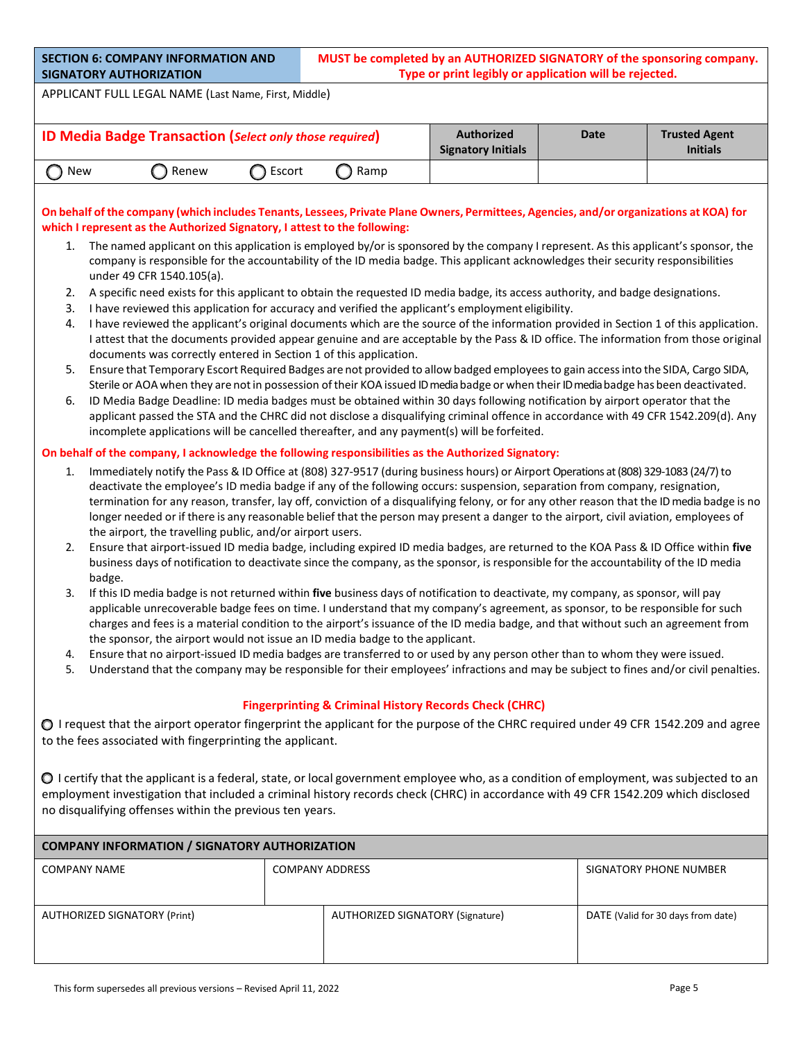| <b>SECTION 6: COMPANY INFORMATION AND</b> |
|-------------------------------------------|
| <b>SIGNATORY AUTHORIZATION</b>            |

APPLICANT FULL LEGAL NAME (Last Name, First, Middle)

|       | <b>ID Media Badge Transaction (Select only those required)</b> |          | <b>Authorized</b><br><b>Signatory Initials</b> | Date | <b>Trusted Agent</b><br><b>Initials</b> |  |
|-------|----------------------------------------------------------------|----------|------------------------------------------------|------|-----------------------------------------|--|
| ) New | ) Renew                                                        | ි Escort | ` Ramp                                         |      |                                         |  |

# On behalf of the company (which includes Tenants, Lessees, Private Plane Owners, Permittees, Agencies, and/or organizations at KOA) for **which I represent as the Authorized Signatory, I attest to the following:**

- 1. The named applicant on this application is employed by/or is sponsored by the company I represent. As this applicant's sponsor, the company is responsible for the accountability of the ID media badge. This applicant acknowledges their security responsibilities under 49 CFR 1540.105(a).
- 2. A specific need exists for this applicant to obtain the requested ID media badge, its access authority, and badge designations.
- 3. I have reviewed this application for accuracy and verified the applicant's employment eligibility.
- 4. I have reviewed the applicant's original documents which are the source of the information provided in Section 1 of this application. I attest that the documents provided appear genuine and are acceptable by the Pass & ID office. The information from those original documents was correctly entered in Section 1 of this application.
- 5. Ensure that Temporary Escort Required Badges are not provided to allow badged employeesto gain accessinto the SIDA, Cargo SIDA, Sterile or AOA when they are not in possession of their KOA issued ID media badge or when their ID media badge has been deactivated.
- 6. ID Media Badge Deadline: ID media badges must be obtained within 30 days following notification by airport operator that the applicant passed the STA and the CHRC did not disclose a disqualifying criminal offence in accordance with 49 CFR 1542.209(d). Any incomplete applications will be cancelled thereafter, and any payment(s) will be forfeited.

# **On behalf of the company, I acknowledge the following responsibilities as the Authorized Signatory:**

- 1. Immediately notify the Pass & ID Office at (808) 327-9517 (during business hours) or Airport Operations at (808) 329-1083 (24/7) to deactivate the employee's ID media badge if any of the following occurs: suspension, separation from company, resignation, termination for any reason, transfer, lay off, conviction of a disqualifying felony, or for any other reason that the ID media badge is no longer needed or if there is any reasonable belief that the person may present a danger to the airport, civil aviation, employees of the airport, the travelling public, and/or airport users.
- 2. Ensure that airport-issued ID media badge, including expired ID media badges, are returned to the KOA Pass & ID Office within **five**  business days of notification to deactivate since the company, asthe sponsor, isresponsible for the accountability of the ID media badge.
- 3. If this ID media badge is not returned within **five** business days of notification to deactivate, my company, as sponsor, will pay applicable unrecoverable badge fees on time. I understand that my company's agreement, as sponsor, to be responsible for such charges and fees is a material condition to the airport's issuance of the ID media badge, and that without such an agreement from the sponsor, the airport would not issue an ID media badge to the applicant.
- 4. Ensure that no airport-issued ID media badges are transferred to or used by any person other than to whom they were issued.
- 5. Understand that the company may be responsible for their employees' infractions and may be subject to fines and/or civil penalties.

# **Fingerprinting & Criminal History Records Check (CHRC)**

 $\bigcirc$  I request that the airport operator fingerprint the applicant for the purpose of the CHRC required under 49 CFR 1542.209 and agree to the fees associated with fingerprinting the applicant.

 $\bigcirc$  I certify that the applicant is a federal, state, or local government employee who, as a condition of employment, was subjected to an employment investigation that included a criminal history records check (CHRC) in accordance with 49 CFR 1542.209 which disclosed no disqualifying offenses within the previous ten years.

| <b>COMPANY INFORMATION / SIGNATORY AUTHORIZATION</b> |                        |                                  |                                    |  |  |  |  |  |
|------------------------------------------------------|------------------------|----------------------------------|------------------------------------|--|--|--|--|--|
| <b>COMPANY NAME</b>                                  | <b>COMPANY ADDRESS</b> |                                  | SIGNATORY PHONE NUMBER             |  |  |  |  |  |
|                                                      |                        |                                  |                                    |  |  |  |  |  |
| <b>AUTHORIZED SIGNATORY (Print)</b>                  |                        | AUTHORIZED SIGNATORY (Signature) | DATE (Valid for 30 days from date) |  |  |  |  |  |
|                                                      |                        |                                  |                                    |  |  |  |  |  |
|                                                      |                        |                                  |                                    |  |  |  |  |  |